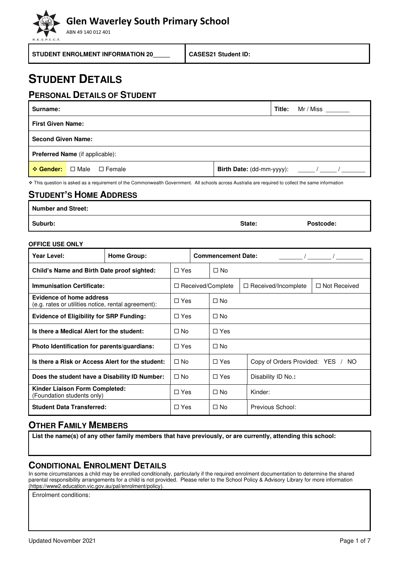ABN 49 140 012 401

**STUDENT ENROLMENT INFORMATION 20\_\_\_\_\_ CASES21 Student ID:** 

## **STUDENT DETAILS**

### **PERSONAL DETAILS OF STUDENT**

| Surname:                               |                                  | Title: | Mr / Miss |  |  |
|----------------------------------------|----------------------------------|--------|-----------|--|--|
| <b>First Given Name:</b>               |                                  |        |           |  |  |
|                                        | <b>Second Given Name:</b>        |        |           |  |  |
| <b>Preferred Name</b> (if applicable): |                                  |        |           |  |  |
|                                        | <b>☆ Gender:</b> □ Male □ Female |        |           |  |  |

❖ This question is asked as a requirement of the Commonwealth Government. All schools across Australia are required to collect the same information

### **STUDENT'S HOME ADDRESS**

**Number and Street:** 

**Suburb: State: Postcode:** 

### **OFFICE USE ONLY**

| Year Level:<br><b>Home Group:</b>                                               |  |            |            | <b>Commencement Date:</b> |                                   |                     |
|---------------------------------------------------------------------------------|--|------------|------------|---------------------------|-----------------------------------|---------------------|
| Child's Name and Birth Date proof sighted:                                      |  | $\Box$ Yes |            | $\Box$ No                 |                                   |                     |
| <b>Immunisation Certificate:</b>                                                |  |            |            | □ Received/Complete       | $\Box$ Received/Incomplete        | $\Box$ Not Received |
| Evidence of home address<br>(e.g. rates or utilities notice, rental agreement): |  |            | $\Box$ Yes | $\Box$ No                 |                                   |                     |
| <b>Evidence of Eligibility for SRP Funding:</b>                                 |  |            | $\Box$ Yes | $\Box$ No                 |                                   |                     |
| Is there a Medical Alert for the student:                                       |  | $\Box$ No  |            | $\Box$ Yes                |                                   |                     |
| Photo Identification for parents/guardians:                                     |  | $\Box$ Yes |            | $\Box$ No                 |                                   |                     |
| Is there a Risk or Access Alert for the student:                                |  | $\Box$ No  |            | $\Box$ Yes                | Copy of Orders Provided: YES / NO |                     |
| Does the student have a Disability ID Number:                                   |  | $\Box$ No  |            | $\Box$ Yes                | Disability ID No.:                |                     |
| Kinder Liaison Form Completed:<br>(Foundation students only)                    |  | $\Box$ Yes |            | $\Box$ No                 | Kinder:                           |                     |
| <b>Student Data Transferred:</b>                                                |  | $\Box$ Yes |            | $\Box$ No                 | Previous School:                  |                     |

## **OTHER FAMILY MEMBERS**

**List the name(s) of any other family members that have previously, or are currently, attending this school:** 

## **CONDITIONAL ENROLMENT DETAILS**

In some circumstances a child may be enrolled conditionally, particularly if the required enrolment documentation to determine the shared parental responsibility arrangements for a child is not provided. Please refer to the School Policy & Advisory Library for more information (https://www2.education.vic.gov.au/pal/enrolment/policy).

Enrolment conditions: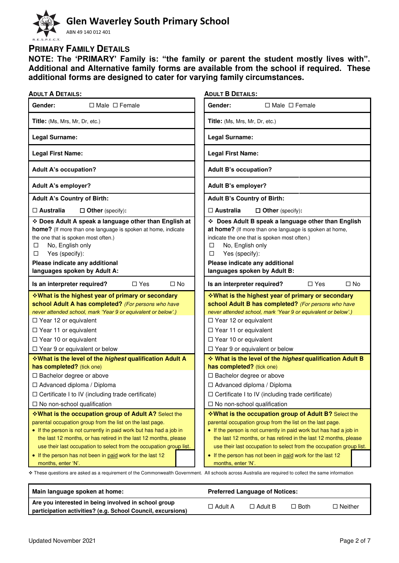## **Glen Waverley South Primary School**  ABN 49 140 012 401

## **PRIMARY FAMILY DETAILS**

**NOTE: The 'PRIMARY' Family is: "the family or parent the student mostly lives with". Additional and Alternative family forms are available from the school if required. These additional forms are designed to cater for varying family circumstances.** 

| <b>ADULT B DETAILS:</b>                                                                                                                                                                                                                                                                                                 |
|-------------------------------------------------------------------------------------------------------------------------------------------------------------------------------------------------------------------------------------------------------------------------------------------------------------------------|
| Gender:<br>$\Box$ Male $\Box$ Female                                                                                                                                                                                                                                                                                    |
| Title: (Ms, Mrs, Mr, Dr, etc.)                                                                                                                                                                                                                                                                                          |
| Legal Surname:                                                                                                                                                                                                                                                                                                          |
| <b>Legal First Name:</b>                                                                                                                                                                                                                                                                                                |
| <b>Adult B's occupation?</b>                                                                                                                                                                                                                                                                                            |
| Adult B's employer?                                                                                                                                                                                                                                                                                                     |
| <b>Adult B's Country of Birth:</b>                                                                                                                                                                                                                                                                                      |
| $\Box$ Australia<br>$\Box$ Other (specify):                                                                                                                                                                                                                                                                             |
| Does Adult B speak a language other than English<br>at home? (If more than one language is spoken at home,<br>indicate the one that is spoken most often.)<br>No, English only<br>□<br>$\Box$<br>Yes (specify):<br>Please indicate any additional<br>languages spoken by Adult B:                                       |
| $\Box$ Yes<br>$\square$ No<br>Is an interpreter required?                                                                                                                                                                                                                                                               |
| <b>Vhat is the highest year of primary or secondary</b><br>school Adult B has completed? (For persons who have<br>never attended school, mark 'Year 9 or equivalent or below'.)<br>$\Box$ Year 12 or equivalent<br>$\Box$ Year 11 or equivalent<br>$\Box$ Year 10 or equivalent<br>$\Box$ Year 9 or equivalent or below |
| What is the level of the highest qualification Adult B                                                                                                                                                                                                                                                                  |
| has completed? (tick one)                                                                                                                                                                                                                                                                                               |
| □ Bachelor degree or above<br>□ Advanced diploma / Diploma<br>$\Box$ Certificate I to IV (including trade certificate)<br>$\Box$ No non-school qualification                                                                                                                                                            |
|                                                                                                                                                                                                                                                                                                                         |

| Main language spoken at home:                               | <b>Preferred Language of Notices:</b> |                |             |                |  |
|-------------------------------------------------------------|---------------------------------------|----------------|-------------|----------------|--|
| Are you interested in being involved in school group        | $\Box$ Adult A                        | $\Box$ Adult B | $\Box$ Both | $\Box$ Neither |  |
| participation activities? (e.g. School Council, excursions) |                                       |                |             |                |  |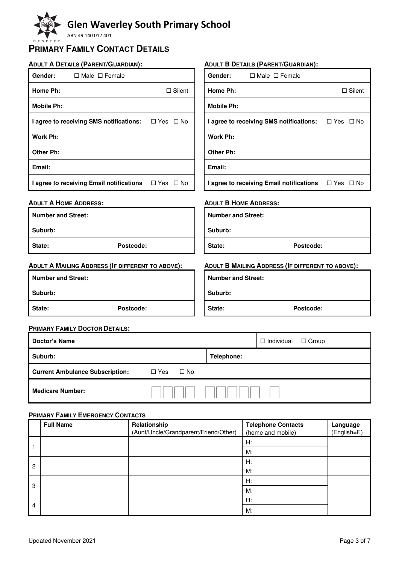ABN 49 140 012 401

### **PRIMARY FAMILY CONTACT DETAILS**

### **ADULT A DETAILS (PARENT/GUARDIAN):**

#### Gender: □ Male □ Female **Home Ph:** □ Silent **Mobile Ph: I agree to receiving SMS notifications:** □ Yes □ No **Work Ph: Other Ph: Email: I agree to receiving Email notifications** □ Yes □ No **ADULT A HOME ADDRESS: Number and Street: Suburb: ADULT B DETAILS (PARENT/GUARDIAN):** Gender: □ Male □ Female **Home Ph:**  $□$  Silent **Mobile Ph: I agree to receiving SMS notifications:** □ Yes □ No **Work Ph: Other Ph: Email: I agree to receiving Email notifications**  $\Box$  Yes  $\Box$  No **ADULT B HOME ADDRESS: Number and Street: Suburb:**

**State: Postcode:**

### **ADULT A MAILING ADDRESS (IF DIFFERENT TO ABOVE):**

| ADULT A MAILING ADDRESS (IF DIFFERENT TO ABOVE): | ADULT B MAILING ADDRESS (IF DIFFERENT TO ABOVE): |  |  |
|--------------------------------------------------|--------------------------------------------------|--|--|
| <b>Number and Street:</b>                        | <b>Number and Street:</b>                        |  |  |
| Suburb:                                          | Suburb:                                          |  |  |
| State:<br>Postcode:                              | State:<br>Postcode:                              |  |  |

**State: Postcode:**

#### **PRIMARY FAMILY DOCTOR DETAILS:**

| Doctor's Name                          |                            | $\Box$ Individual<br>$\Box$ Group |
|----------------------------------------|----------------------------|-----------------------------------|
| Suburb:                                | Telephone:                 |                                   |
| <b>Current Ambulance Subscription:</b> | $\square$ No<br>$\Box$ Yes |                                   |
| <b>Medicare Number:</b>                |                            |                                   |

### **PRIMARY FAMILY EMERGENCY CONTACTS**

|                | <b>Full Name</b> | Relationship<br>(Aunt/Uncle/Grandparent/Friend/Other) | <b>Telephone Contacts</b><br>(home and mobile) | Language<br>(English=E) |
|----------------|------------------|-------------------------------------------------------|------------------------------------------------|-------------------------|
|                |                  |                                                       | H:                                             |                         |
|                |                  |                                                       | M:                                             |                         |
|                |                  |                                                       | H:                                             |                         |
| $\overline{c}$ |                  |                                                       | M:                                             |                         |
|                |                  |                                                       | H:                                             |                         |
| 3              |                  |                                                       | M:                                             |                         |
|                |                  |                                                       | H:                                             |                         |
| 4              |                  |                                                       | M:                                             |                         |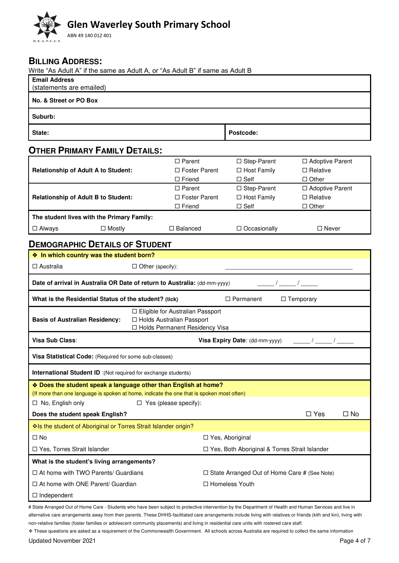# **Glen Waverley South Primary School**  ABN 49 140 012 401

### **BILLING ADDRESS:**

Write "As Adult A" if the same as Adult A, or "As Adult B" if same as Adult B

| $\frac{1}{2}$ as Aquit A . If the same as Aquit A, or . As Aquit D . If same as Aquit D<br><b>Email Address</b><br>(statements are emailed) |                                                                                                       |                                                     |                                                      |
|---------------------------------------------------------------------------------------------------------------------------------------------|-------------------------------------------------------------------------------------------------------|-----------------------------------------------------|------------------------------------------------------|
| No. & Street or PO Box                                                                                                                      |                                                                                                       |                                                     |                                                      |
| Suburb:                                                                                                                                     |                                                                                                       |                                                     |                                                      |
| State:                                                                                                                                      |                                                                                                       | Postcode:                                           |                                                      |
| <b>OTHER PRIMARY FAMILY DETAILS:</b>                                                                                                        |                                                                                                       |                                                     |                                                      |
| <b>Relationship of Adult A to Student:</b>                                                                                                  | $\Box$ Parent<br>□ Foster Parent<br>$\Box$ Friend                                                     | □ Step-Parent<br>□ Host Family<br>$\square$ Self    | □ Adoptive Parent<br>$\Box$ Relative<br>$\Box$ Other |
| <b>Relationship of Adult B to Student:</b>                                                                                                  | $\Box$ Parent<br>□ Foster Parent<br>$\Box$ Friend                                                     | □ Step-Parent<br>□ Host Family<br>$\square$ Self    | □ Adoptive Parent<br>$\Box$ Relative<br>$\Box$ Other |
| The student lives with the Primary Family:                                                                                                  |                                                                                                       |                                                     |                                                      |
| $\Box$ Mostly<br>$\Box$ Always                                                                                                              | $\Box$ Balanced                                                                                       | $\Box$ Occasionally                                 | $\Box$ Never                                         |
| <b>DEMOGRAPHIC DETAILS OF STUDENT</b>                                                                                                       |                                                                                                       |                                                     |                                                      |
| ♦ In which country was the student born?                                                                                                    |                                                                                                       |                                                     |                                                      |
| $\Box$ Australia                                                                                                                            | $\Box$ Other (specify):                                                                               |                                                     |                                                      |
| Date of arrival in Australia OR Date of return to Australia: (dd-mm-yyyy)                                                                   |                                                                                                       |                                                     |                                                      |
| What is the Residential Status of the student? (tick)                                                                                       |                                                                                                       | $\Box$ Permanent                                    | $\Box$ Temporary                                     |
| <b>Basis of Australian Residency:</b>                                                                                                       | □ Eligible for Australian Passport<br>□ Holds Australian Passport<br>□ Holds Permanent Residency Visa |                                                     |                                                      |
| Visa Sub Class:                                                                                                                             |                                                                                                       | Visa Expiry Date: (dd-mm-yyyy)                      |                                                      |
| Visa Statistical Code: (Required for some sub-classes)                                                                                      |                                                                                                       |                                                     |                                                      |
| International Student ID :(Not required for exchange students)                                                                              |                                                                                                       |                                                     |                                                      |
| * Does the student speak a language other than English at home?                                                                             |                                                                                                       |                                                     |                                                      |
| (If more than one language is spoken at home, indicate the one that is spoken most often)                                                   |                                                                                                       |                                                     |                                                      |
| $\Box$ No, English only<br>Does the student speak English?                                                                                  | $\Box$ Yes (please specify):                                                                          |                                                     | $\square$ Yes<br>$\square$ No                        |
| Is the student of Aboriginal or Torres Strait Islander origin?                                                                              |                                                                                                       |                                                     |                                                      |
| $\Box$ No                                                                                                                                   |                                                                                                       | □ Yes, Aboriginal                                   |                                                      |
| □ Yes, Torres Strait Islander                                                                                                               |                                                                                                       | □ Yes, Both Aboriginal & Torres Strait Islander     |                                                      |
| What is the student's living arrangements?                                                                                                  |                                                                                                       |                                                     |                                                      |
| $\Box$ At home with TWO Parents/ Guardians                                                                                                  |                                                                                                       | $\Box$ State Arranged Out of Home Care # (See Note) |                                                      |
| $\Box$ At home with ONE Parent/ Guardian                                                                                                    |                                                                                                       | □ Homeless Youth                                    |                                                      |
| $\Box$ Independent                                                                                                                          |                                                                                                       |                                                     |                                                      |

# State Arranged Out of Home Care - Students who have been subject to protective intervention by the Department of Health and Human Services and live in alternative care arrangements away from their parents. These DHHS-facilitated care arrangements include living with relatives or friends (kith and kin), living with non-relative families (foster families or adolescent community placements) and living in residential care units with rostered care staff.

❖ These questions are asked as a requirement of the Commonwealth Government. All schools across Australia are required to collect the same information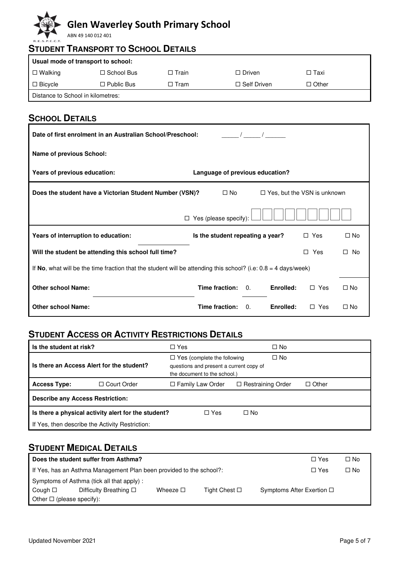ABN 49 140 012 401

|                | <b>STUDENT TRANSPORT TO SCHOOL DETAILS</b> |              |                    |              |  |  |  |  |
|----------------|--------------------------------------------|--------------|--------------------|--------------|--|--|--|--|
|                | Usual mode of transport to school:         |              |                    |              |  |  |  |  |
| $\Box$ Walking | $\Box$ School Bus                          | $\Box$ Train | $\Box$ Driven      | $\Box$ Taxi  |  |  |  |  |
| $\Box$ Bicycle | $\Box$ Public Bus                          | $\Box$ Tram  | $\Box$ Self Driven | $\Box$ Other |  |  |  |  |
|                | Distance to School in kilometres:          |              |                    |              |  |  |  |  |

## **SCHOOL DETAILS**

| Date of first enrolment in an Australian School/Preschool:                                                       |                                  |           |            |           |  |  |  |  |
|------------------------------------------------------------------------------------------------------------------|----------------------------------|-----------|------------|-----------|--|--|--|--|
| <b>Name of previous School:</b>                                                                                  |                                  |           |            |           |  |  |  |  |
| Years of previous education:                                                                                     | Language of previous education?  |           |            |           |  |  |  |  |
| Does the student have a Victorian Student Number (VSN)?<br>$\square$ No<br>$\Box$ Yes, but the VSN is unknown    |                                  |           |            |           |  |  |  |  |
| П                                                                                                                | Yes (please specify):            |           |            |           |  |  |  |  |
| Years of interruption to education:                                                                              | Is the student repeating a year? |           | $\Box$ Yes | $\Box$ No |  |  |  |  |
| Will the student be attending this school full time?                                                             |                                  |           | Yes<br>П   | No<br>□   |  |  |  |  |
| If No, what will be the time fraction that the student will be attending this school? (i.e: $0.8 = 4$ days/week) |                                  |           |            |           |  |  |  |  |
| <b>Other school Name:</b>                                                                                        | Time fraction:<br>$\Omega$ .     | Enrolled: | $\Box$ Yes | $\Box$ No |  |  |  |  |
| <b>Other school Name:</b>                                                                                        | Time fraction:<br>$\Omega$       | Enrolled: | $\Box$ Yes | $\Box$ No |  |  |  |  |

## **STUDENT ACCESS OR ACTIVITY RESTRICTIONS DETAILS**

| Is the student at risk?                   |                                                     | $\Box$ Yes                                                                                                                 | $\square$ No             |              |
|-------------------------------------------|-----------------------------------------------------|----------------------------------------------------------------------------------------------------------------------------|--------------------------|--------------|
| Is there an Access Alert for the student? |                                                     | $\Box$ No<br>$\Box$ Yes (complete the following<br>questions and present a current copy of<br>the document to the school.) |                          |              |
| <b>Access Type:</b>                       | □ Court Order                                       | $\Box$ Family Law Order                                                                                                    | $\Box$ Restraining Order | $\Box$ Other |
| <b>Describe any Access Restriction:</b>   |                                                     |                                                                                                                            |                          |              |
|                                           | Is there a physical activity alert for the student? | $\Box$ Yes                                                                                                                 | $\Box$ No                |              |
|                                           | If Yes, then describe the Activity Restriction:     |                                                                                                                            |                          |              |

## **STUDENT MEDICAL DETAILS**

| Does the student suffer from Asthma?<br>$\Box$ Yes                                                                  |  |  |  |  |  |  |
|---------------------------------------------------------------------------------------------------------------------|--|--|--|--|--|--|
| If Yes, has an Asthma Management Plan been provided to the school?:<br>$\Box$ Yes                                   |  |  |  |  |  |  |
| Symptoms of Asthma (tick all that apply):                                                                           |  |  |  |  |  |  |
| Symptoms After Exertion □<br>Difficulty Breathing $\square$<br>Tight Chest □<br>Cough $\square$<br>Wheeze $\square$ |  |  |  |  |  |  |
| Other $\Box$ (please specify):                                                                                      |  |  |  |  |  |  |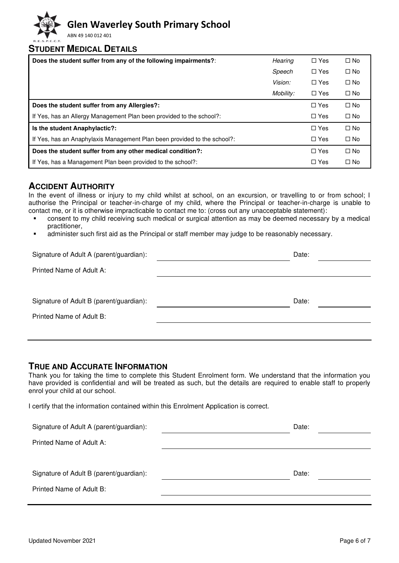ABN 49 140 012 401

### **STUDENT MEDICAL DETAILS**

| Does the student suffer from any of the following impairments?:          | Hearing   | $\Box$ Yes | $\square$ No |
|--------------------------------------------------------------------------|-----------|------------|--------------|
|                                                                          | Speech    | $\Box$ Yes | $\square$ No |
|                                                                          | Vision:   | $\Box$ Yes | $\Box$ No    |
|                                                                          | Mobility: | $\Box$ Yes | $\square$ No |
| Does the student suffer from any Allergies?:                             |           | $\Box$ Yes | $\Box$ No    |
| If Yes, has an Allergy Management Plan been provided to the school?:     |           | $\Box$ Yes | $\square$ No |
| Is the student Anaphylactic?:                                            |           | $\Box$ Yes | $\Box$ No    |
| If Yes, has an Anaphylaxis Management Plan been provided to the school?: |           | $\Box$ Yes | $\square$ No |
| Does the student suffer from any other medical condition?:               |           | $\Box$ Yes | $\Box$ No    |
| If Yes, has a Management Plan been provided to the school?:              |           | $\Box$ Yes | $\Box$ No    |

### **ACCIDENT AUTHORITY**

In the event of illness or injury to my child whilst at school, on an excursion, or travelling to or from school; I authorise the Principal or teacher-in-charge of my child, where the Principal or teacher-in-charge is unable to contact me, or it is otherwise impracticable to contact me to: (cross out any unacceptable statement):

- consent to my child receiving such medical or surgical attention as may be deemed necessary by a medical practitioner,
- administer such first aid as the Principal or staff member may judge to be reasonably necessary.

| Signature of Adult A (parent/guardian): | Date: |
|-----------------------------------------|-------|
| Printed Name of Adult A:                |       |
|                                         |       |
| Signature of Adult B (parent/guardian): | Date: |
| Printed Name of Adult B:                |       |
|                                         |       |

### **TRUE AND ACCURATE INFORMATION**

Thank you for taking the time to complete this Student Enrolment form. We understand that the information you have provided is confidential and will be treated as such, but the details are required to enable staff to properly enrol your child at our school.

I certify that the information contained within this Enrolment Application is correct.

| Signature of Adult A (parent/guardian): | Date: |
|-----------------------------------------|-------|
| Printed Name of Adult A:                |       |
|                                         |       |
| Signature of Adult B (parent/guardian): | Date: |
| Printed Name of Adult B:                |       |
|                                         |       |